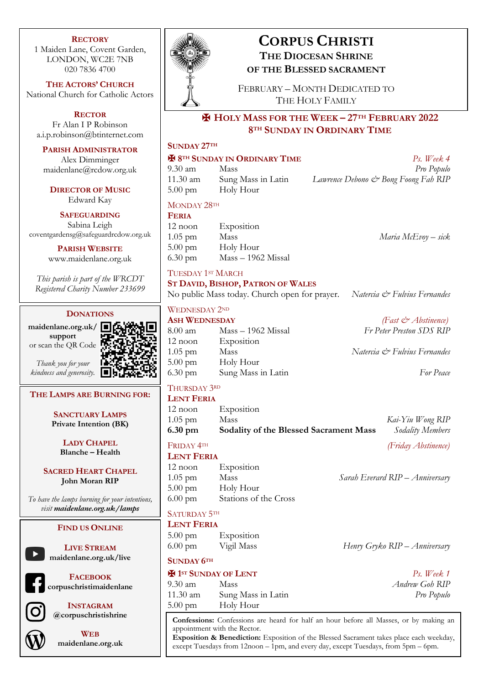### **RECTORY**

1 Maiden Lane, Covent Garden, LONDON, WC2E 7NB 020 7836 4700

**THE ACTORS' CHURCH** National Church for Catholic Actors

**RECTOR** Fr Alan I P Robinson a.i.p.robinson@btinternet.com

**PARISH ADMINISTRATOR**

Alex Dimminger maidenlane@rcdow.org.uk

**DIRECTOR OF MUSIC** Edward Kay

**SAFEGUARDING** Sabina Leigh coventgardensg@safeguardrcdow.org.uk

> **PARISH WEBSITE** www.maidenlane.org.uk

*This parish is part of the WRCDT Registered Charity Number 233699*

### **DONATIONS**

**maidenlane.org.uk/ support** or scan the QR Code

*Thank you for your kindness and generosity.*

# **THE LAMPS ARE BURNING FOR:**

**SANCTUARY LAMPS Private Intention (BK)**

> **LADY CHAPEL Blanche – Health**

**SACRED HEART CHAPEL John Moran RIP**

*To have the lamps burning for your intentions, visit maidenlane.org.uk/lamps*

### **FIND US ONLINE**

**LIVE STREAM maidenlane.org.uk/live**

**FACEBOOK corpuschristimaidenlane**



**INSTAGRAM @corpuschristishrine**



**WEB maidenlane.org.uk**



# **CORPUS CHRISTI THE DIOCESAN SHRINE OF THE BLESSED SACRAMENT**

FEBRUARY – MONTH DEDICATED TO THE HOLY FAMILY

## ✠ **HOLY MASS FOR THE WEEK – 27TH FEBRUARY 2022 8TH SUNDAY IN ORDINARY TIME**

## **SUNDAY 27TH**

### ✠ **8TH SUNDAY IN ORDINARY TIME** *Ps. Week 4*

9.30 am Mass *Pro Populo* 11.30 am Sung Mass in Latin *Lawrence Debono & Bong Foong Fah RIP* 5.00 pm Holy Hour

### MONDAY 28<sup>TH</sup>

**FERIA** 12 noon Exposition 1.05 pm Mass *Maria McEvoy – sick* 5.00 pm Holy Hour 6.30 pm Mass – 1962 Missal

### TUESDAY 1ST MARCH

### **ST DAVID, BISHOP, PATRON OF WALES**

No public Mass today. Church open for prayer. *Natercia & Fulvius Fernandes*

### WEDNESDAY 2ND

**ASH WEDNESDAY** *(Fast & Abstinence)* 8.00 am Mass – 1962 Missal *Fr Peter Preston SDS RIP* 12 noon Exposition 1.05 pm Mass *Natercia & Fulvius Fernandes* 5.00 pm Holy Hour 6.30 pm Sung Mass in Latin *For Peace*

### THURSDAY 3RD **LENT FERIA**

| $1.05$ pm | Mass                                   | Kai-Yiu Wong RIP |
|-----------|----------------------------------------|------------------|
| 6.30 pm   | Sodality of the Blessed Sacrament Mass | Sodality Members |

**LENT FERIA** 12 noon Exposition 1.05 pm Mass *Sarah Everard RIP – Anniversary* 5.00 pm Holy Hour 6.00 pm Stations of the Cross

### SATURDAY 5TH **LENT FERIA**

| 22211121212111    |            |                               |
|-------------------|------------|-------------------------------|
| $5.00 \text{ pm}$ | Exposition |                               |
| $6.00 \text{ pm}$ | Vigil Mass | Henry Gryko RIP - Anniversary |

### **SUNDAY 6TH**

| 9.30 am  | Mass               |
|----------|--------------------|
| 11.30 am | Sung Mass in Latin |
| 5.00 pm  | Holy Hour          |

✠ **1ST SUNDAY OF LENT** *Ps. Week 1* 9.30 am Mass *Andrew Goh RIP*

 $Pro$  Populo

**Confessions:** Confessions are heard for half an hour before all Masses, or by making an appointment with the Rector.

**Exposition & Benediction:** Exposition of the Blessed Sacrament takes place each weekday, except Tuesdays from 12noon – 1pm, and every day, except Tuesdays, from 5pm – 6pm.

FRIDAY 4TH *(Friday Abstinence)*